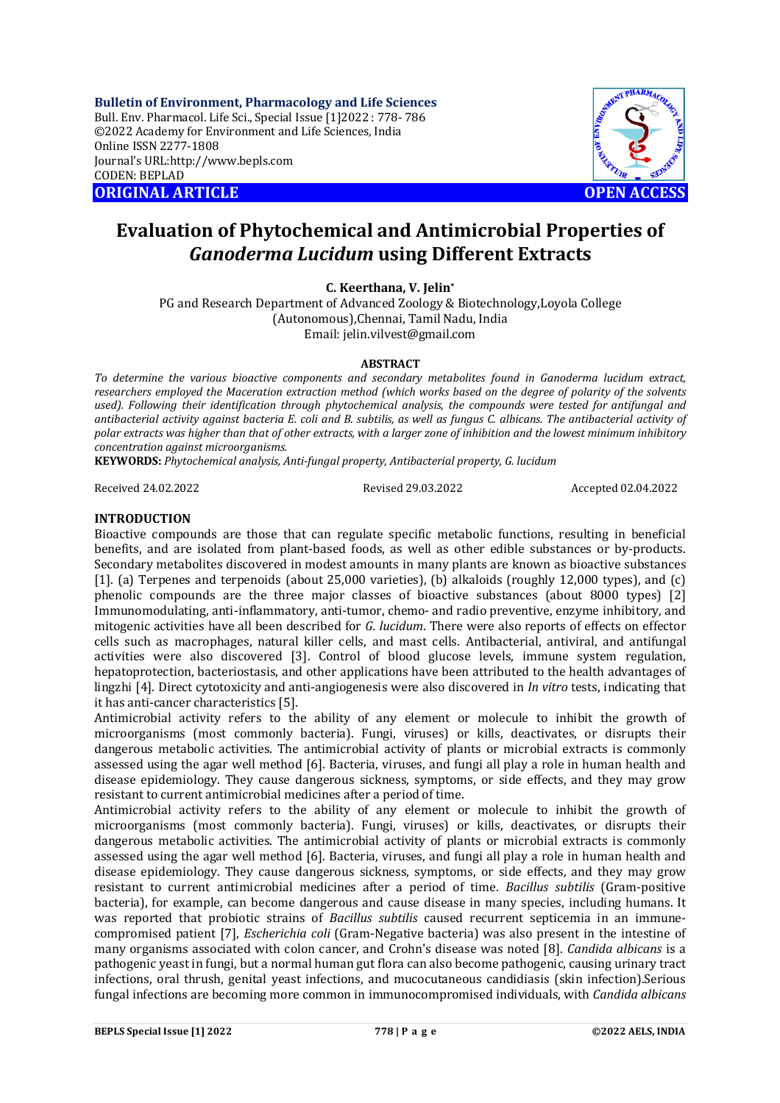**Bulletin of Environment, Pharmacology and Life Sciences** Bull. Env. Pharmacol. Life Sci., Special Issue [1]2022 : 778- 786 ©2022 Academy for Environment and Life Sciences, India Online ISSN 2277-1808 Journal's URL:<http://www.bepls.com> CODEN: BEPLAD **ORIGINAL ARTICLE OPEN ACCESS** 



# **Evaluation of Phytochemical and Antimicrobial Properties of** *Ganoderma Lucidum* **using Different Extracts**

**C. Keerthana, V. Jelin\***

PG and Research Department of Advanced Zoology & Biotechnology,Loyola College (Autonomous),Chennai, Tamil Nadu, India Email: [jelin.vilvest@gmail.com](mailto:jelin.vilvest@gmail.com)

### **ABSTRACT**

*To determine the various bioactive components and secondary metabolites found in Ganoderma lucidum extract, researchers employed the Maceration extraction method (which works based on the degree of polarity of the solvents used). Following their identification through phytochemical analysis, the compounds were tested for antifungal and antibacterial activity against bacteria E. coli and B. subtilis, as well as fungus C. albicans. The antibacterial activity of polar extracts was higher than that of other extracts, with a larger zone of inhibition and the lowest minimum inhibitory concentration against microorganisms.*

**KEYWORDS:** *Phytochemical analysis, Anti-fungal property, Antibacterial property, G. lucidum*

Received 24.02.2022 Revised 29.03.2022 Accepted 02.04.2022

### **INTRODUCTION**

Bioactive compounds are those that can regulate specific metabolic functions, resulting in beneficial benefits, and are isolated from plant-based foods, as well as other edible substances or by-products. Secondary metabolites discovered in modest amounts in many plants are known as bioactive substances [1]. (a) Terpenes and terpenoids (about 25,000 varieties), (b) alkaloids (roughly 12,000 types), and (c) phenolic compounds are the three major classes of bioactive substances (about 8000 types) [2] Immunomodulating, anti-inflammatory, anti-tumor, chemo- and radio preventive, enzyme inhibitory, and mitogenic activities have all been described for *G. lucidum*. There were also reports of effects on effector cells such as macrophages, natural killer cells, and mast cells. Antibacterial, antiviral, and antifungal activities were also discovered [3]. Control of blood glucose levels, immune system regulation, hepatoprotection, bacteriostasis, and other applications have been attributed to the health advantages of lingzhi [4]. Direct cytotoxicity and anti-angiogenesis were also discovered in *In vitro* tests, indicating that it has anti-cancer characteristics [5].

Antimicrobial activity refers to the ability of any element or molecule to inhibit the growth of microorganisms (most commonly bacteria). Fungi, viruses) or kills, deactivates, or disrupts their dangerous metabolic activities. The antimicrobial activity of plants or microbial extracts is commonly assessed using the agar well method [6]. Bacteria, viruses, and fungi all play a role in human health and disease epidemiology. They cause dangerous sickness, symptoms, or side effects, and they may grow resistant to current antimicrobial medicines after a period of time.

Antimicrobial activity refers to the ability of any element or molecule to inhibit the growth of microorganisms (most commonly bacteria). Fungi, viruses) or kills, deactivates, or disrupts their dangerous metabolic activities. The antimicrobial activity of plants or microbial extracts is commonly assessed using the agar well method [6]. Bacteria, viruses, and fungi all play a role in human health and disease epidemiology. They cause dangerous sickness, symptoms, or side effects, and they may grow resistant to current antimicrobial medicines after a period of time. *Bacillus subtilis* (Gram-positive bacteria), for example, can become dangerous and cause disease in many species, including humans. It was reported that probiotic strains of *Bacillus subtilis* caused recurrent septicemia in an immunecompromised patient [7], *Escherichia coli* (Gram-Negative bacteria) was also present in the intestine of many organisms associated with colon cancer, and Crohn's disease was noted [8]. *Candida albicans* is a pathogenic yeast in fungi, but a normal human gut flora can also become pathogenic, causing urinary tract infections, oral thrush, genital yeast infections, and mucocutaneous candidiasis (skin infection).Serious fungal infections are becoming more common in immunocompromised individuals, with *Candida albicans*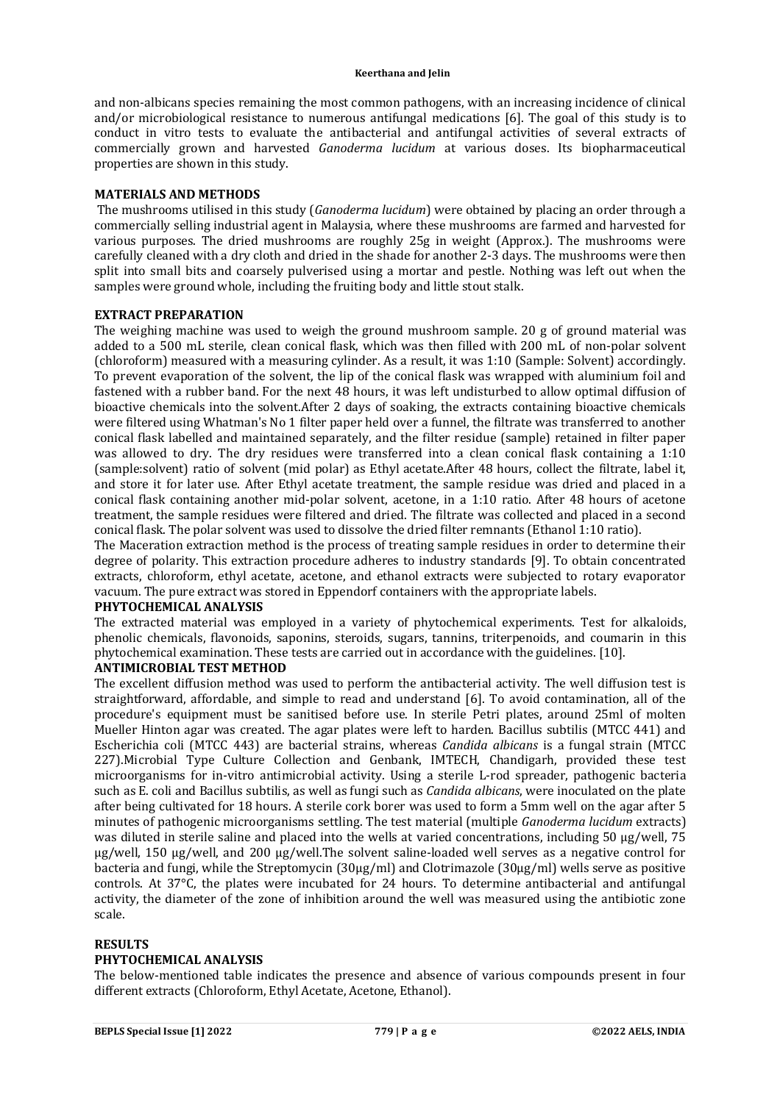and non-albicans species remaining the most common pathogens, with an increasing incidence of clinical and/or microbiological resistance to numerous antifungal medications [6]. The goal of this study is to conduct in vitro tests to evaluate the antibacterial and antifungal activities of several extracts of commercially grown and harvested *Ganoderma lucidum* at various doses. Its biopharmaceutical properties are shown in this study.

#### **MATERIALS AND METHODS**

The mushrooms utilised in this study (*Ganoderma lucidum*) were obtained by placing an order through a commercially selling industrial agent in Malaysia, where these mushrooms are farmed and harvested for various purposes. The dried mushrooms are roughly 25g in weight (Approx.). The mushrooms were carefully cleaned with a dry cloth and dried in the shade for another 2-3 days. The mushrooms were then split into small bits and coarsely pulverised using a mortar and pestle. Nothing was left out when the samples were ground whole, including the fruiting body and little stout stalk.

### **EXTRACT PREPARATION**

The weighing machine was used to weigh the ground mushroom sample. 20 g of ground material was added to a 500 mL sterile, clean conical flask, which was then filled with 200 mL of non-polar solvent (chloroform) measured with a measuring cylinder. As a result, it was 1:10 (Sample: Solvent) accordingly. To prevent evaporation of the solvent, the lip of the conical flask was wrapped with aluminium foil and fastened with a rubber band. For the next 48 hours, it was left undisturbed to allow optimal diffusion of bioactive chemicals into the solvent.After 2 days of soaking, the extracts containing bioactive chemicals were filtered using Whatman's No 1 filter paper held over a funnel, the filtrate was transferred to another conical flask labelled and maintained separately, and the filter residue (sample) retained in filter paper was allowed to dry. The dry residues were transferred into a clean conical flask containing a 1:10 (sample:solvent) ratio of solvent (mid polar) as Ethyl acetate.After 48 hours, collect the filtrate, label it, and store it for later use. After Ethyl acetate treatment, the sample residue was dried and placed in a conical flask containing another mid-polar solvent, acetone, in a 1:10 ratio. After 48 hours of acetone treatment, the sample residues were filtered and dried. The filtrate was collected and placed in a second conical flask. The polar solvent was used to dissolve the dried filter remnants (Ethanol 1:10 ratio).

The Maceration extraction method is the process of treating sample residues in order to determine their degree of polarity. This extraction procedure adheres to industry standards [9]. To obtain concentrated extracts, chloroform, ethyl acetate, acetone, and ethanol extracts were subjected to rotary evaporator vacuum. The pure extract was stored in Eppendorf containers with the appropriate labels.

### **PHYTOCHEMICAL ANALYSIS**

The extracted material was employed in a variety of phytochemical experiments. Test for alkaloids, phenolic chemicals, flavonoids, saponins, steroids, sugars, tannins, triterpenoids, and coumarin in this phytochemical examination. These tests are carried out in accordance with the guidelines. [10].

# **ANTIMICROBIAL TEST METHOD**

The excellent diffusion method was used to perform the antibacterial activity. The well diffusion test is straightforward, affordable, and simple to read and understand [6]. To avoid contamination, all of the procedure's equipment must be sanitised before use. In sterile Petri plates, around 25ml of molten Mueller Hinton agar was created. The agar plates were left to harden. Bacillus subtilis (MTCC 441) and Escherichia coli (MTCC 443) are bacterial strains, whereas *Candida albicans* is a fungal strain (MTCC 227).Microbial Type Culture Collection and Genbank, IMTECH, Chandigarh, provided these test microorganisms for in-vitro antimicrobial activity. Using a sterile L-rod spreader, pathogenic bacteria such as E. coli and Bacillus subtilis, as well as fungi such as *Candida albicans*, were inoculated on the plate after being cultivated for 18 hours. A sterile cork borer was used to form a 5mm well on the agar after 5 minutes of pathogenic microorganisms settling. The test material (multiple *Ganoderma lucidum* extracts) was diluted in sterile saline and placed into the wells at varied concentrations, including 50 μg/well, 75 μg/well, 150 μg/well, and 200 μg/well.The solvent saline-loaded well serves as a negative control for bacteria and fungi, while the Streptomycin (30μg/ml) and Clotrimazole (30μg/ml) wells serve as positive controls. At 37°C, the plates were incubated for 24 hours. To determine antibacterial and antifungal activity, the diameter of the zone of inhibition around the well was measured using the antibiotic zone scale.

### **RESULTS**

### **PHYTOCHEMICAL ANALYSIS**

The below-mentioned table indicates the presence and absence of various compounds present in four different extracts (Chloroform, Ethyl Acetate, Acetone, Ethanol).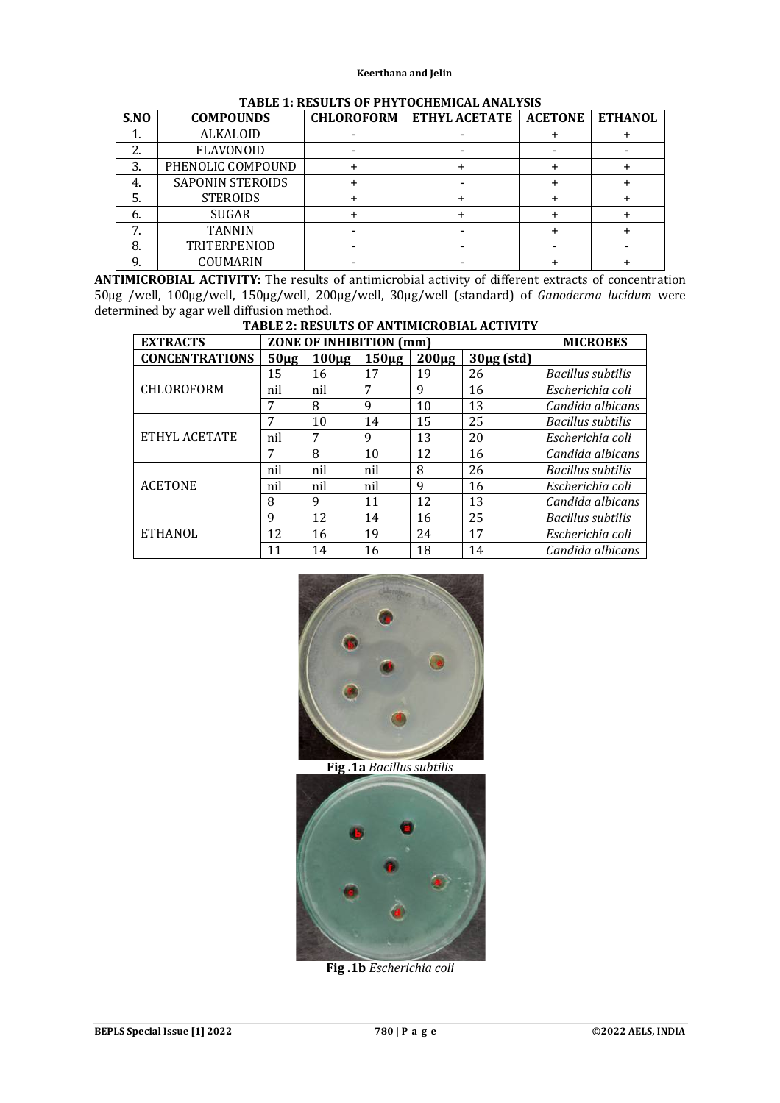| S.NO             | <b>COMPOUNDS</b>        | <b>CHLOROFORM</b> | <b>ETHYL ACETATE</b> | <b>ACETONE</b> | <b>ETHANOL</b> |
|------------------|-------------------------|-------------------|----------------------|----------------|----------------|
|                  | <b>ALKALOID</b>         |                   |                      |                |                |
|                  | <b>FLAVONOID</b>        |                   |                      |                |                |
| 3.               | PHENOLIC COMPOUND       |                   |                      |                |                |
|                  | <b>SAPONIN STEROIDS</b> |                   |                      |                |                |
|                  | <b>STEROIDS</b>         |                   |                      |                |                |
| $\mathfrak{b}$ . | <b>SUGAR</b>            |                   |                      |                |                |
|                  | <b>TANNIN</b>           |                   |                      |                |                |
|                  | TRITERPENIOD            |                   |                      |                |                |
|                  | COUMARIN                |                   |                      |                |                |

# **TABLE 1: RESULTS OF PHYTOCHEMICAL ANALYSIS**

**ANTIMICROBIAL ACTIVITY:** The results of antimicrobial activity of different extracts of concentration 50μg /well, 100μg/well, 150μg/well, 200μg/well, 30μg/well (standard) of *Ganoderma lucidum* were determined by agar well diffusion method.

| TADLE 4: RESULTS OF AN ITMICRODIAL ACTIVITY |           |                                |                 |           |                 |                   |  |  |  |  |
|---------------------------------------------|-----------|--------------------------------|-----------------|-----------|-----------------|-------------------|--|--|--|--|
| <b>EXTRACTS</b>                             |           | <b>ZONE OF INHIBITION (mm)</b> | <b>MICROBES</b> |           |                 |                   |  |  |  |  |
| <b>CONCENTRATIONS</b>                       | $50\mu$ g | $100\mu g$                     | $150\mug$       | $200\mug$ | $30\mu$ g (std) |                   |  |  |  |  |
|                                             | 15        | 16                             | 17              | 19        | 26              | Bacillus subtilis |  |  |  |  |
| CHLOROFORM                                  | nil       | nil                            | 7               | 9         | 16              | Escherichia coli  |  |  |  |  |
|                                             |           | 8                              | 9               | 10        | 13              | Candida albicans  |  |  |  |  |
|                                             | 7         | 10                             | 14              | 15        | 25              | Bacillus subtilis |  |  |  |  |
| ETHYL ACETATE                               | nil       | 7                              | 9               | 13        | 20              | Escherichia coli  |  |  |  |  |
|                                             | 7         | 8                              | 10              | 12        | 16              | Candida albicans  |  |  |  |  |
|                                             | nil       | nil                            | nil             | 8         | 26              | Bacillus subtilis |  |  |  |  |
| <b>ACETONE</b>                              | nil       | nil                            | nil             | 9         | 16              | Escherichia coli  |  |  |  |  |
|                                             | 8         | 9                              | 11              | 12        | 13              | Candida albicans  |  |  |  |  |
|                                             | 9         | 12                             | 14              | 16        | 25              | Bacillus subtilis |  |  |  |  |
| <b>ETHANOL</b>                              | 12        | 16                             | 19              | 24        | 17              | Escherichia coli  |  |  |  |  |
|                                             | 11        | 14                             | 16              | 18        | 14              | Candida albicans  |  |  |  |  |

**TABLE 2: RESULTS OF ANTIMICROBIAL ACTIVITY**



**Fig .1a** *Bacillus subtilis*



**Fig .1b** *Escherichia coli*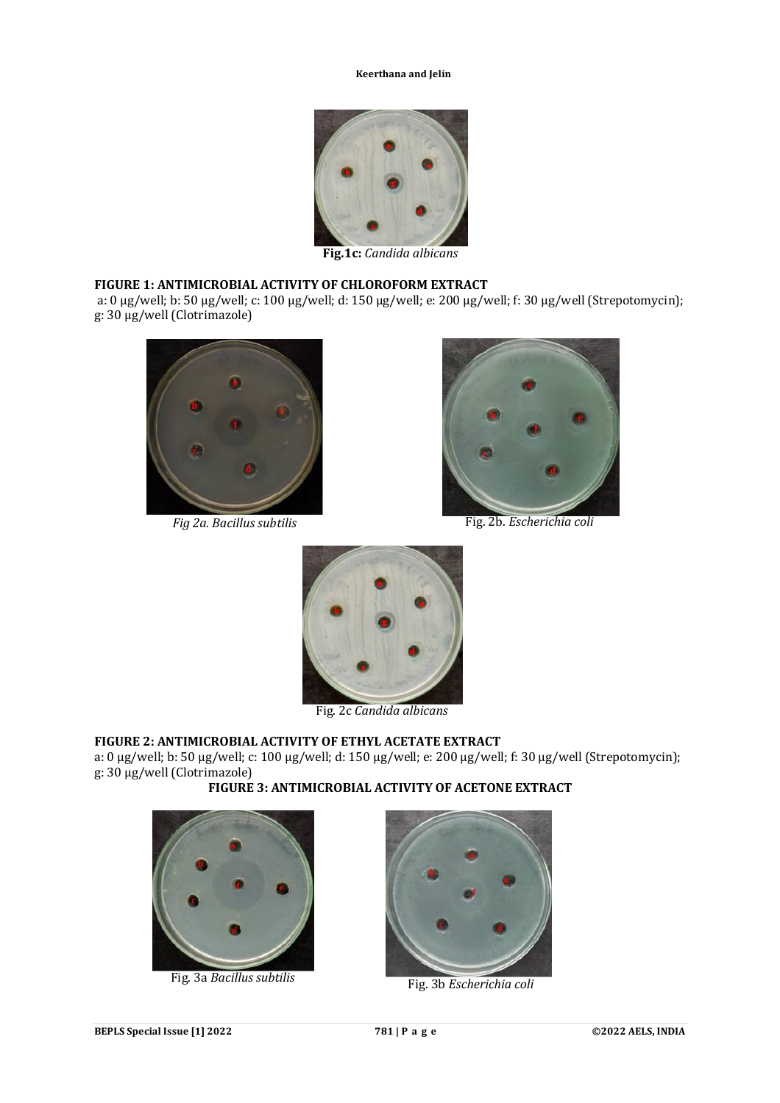

**Fig.1c:** *Candida albicans*

## **FIGURE 1: ANTIMICROBIAL ACTIVITY OF CHLOROFORM EXTRACT**

a: 0 µg/well; b: 50 µg/well; c: 100 µg/well; d: 150 µg/well; e: 200 µg/well; f: 30 µg/well (Strepotomycin); g: 30 µg/well (Clotrimazole)





*Fig 2a. Bacillus subtilis* Fig. 2b. *Escherichia coli* 



Fig. 2c *Candida albicans*

# **FIGURE 2: ANTIMICROBIAL ACTIVITY OF ETHYL ACETATE EXTRACT**

a: 0 µg/well; b: 50 µg/well; c: 100 µg/well; d: 150 µg/well; e: 200 µg/well; f: 30 µg/well (Strepotomycin); g: 30 µg/well (Clotrimazole)

**FIGURE 3: ANTIMICROBIAL ACTIVITY OF ACETONE EXTRACT**



Fig. 3a *Bacillus subtilis*



Fig. 3b *Escherichia coli*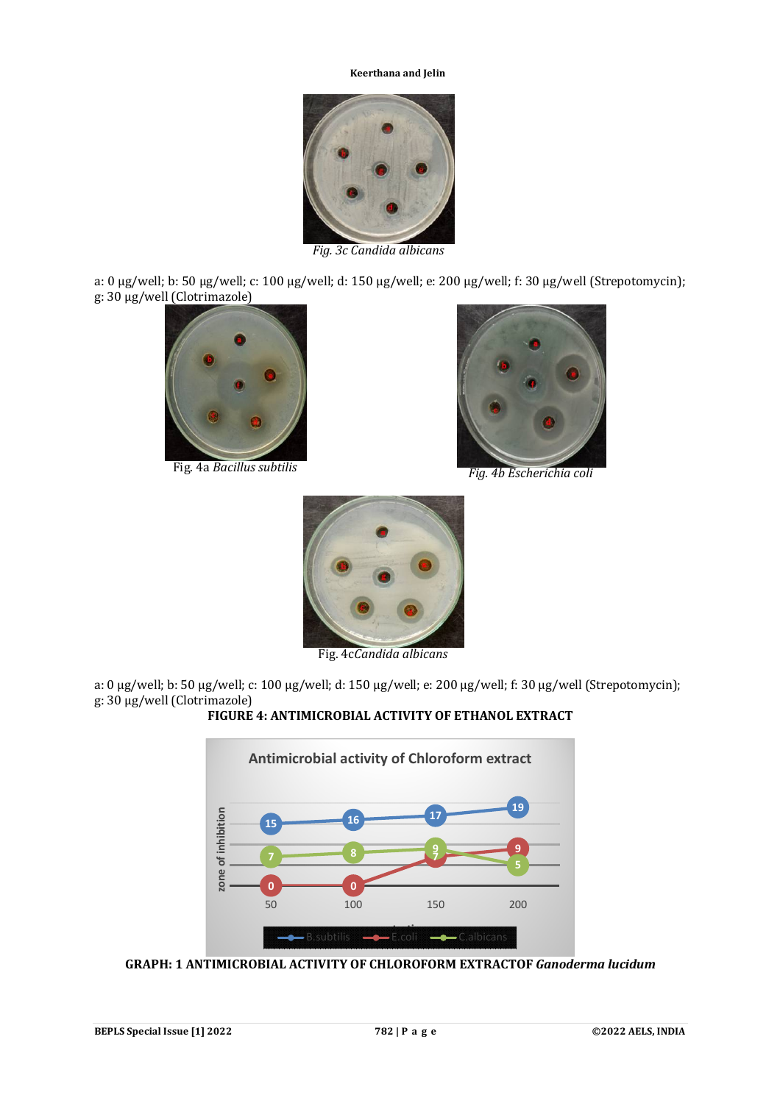

*Fig. 3c Candida albicans*

a: 0 µg/well; b: 50 µg/well; c: 100 µg/well; d: 150 µg/well; e: 200 µg/well; f: 30 µg/well (Strepotomycin); g: 30 µg/well (Clotrimazole)





Fig. 4a *Bacillus subtilis Fig. 4b Escherichia coli*



Fig. 4c*Candida albicans*

a: 0 µg/well; b: 50 µg/well; c: 100 µg/well; d: 150 µg/well; e: 200 µg/well; f: 30 µg/well (Strepotomycin); g: 30 µg/well (Clotrimazole)

# **FIGURE 4: ANTIMICROBIAL ACTIVITY OF ETHANOL EXTRACT**



**GRAPH: 1 ANTIMICROBIAL ACTIVITY OF CHLOROFORM EXTRACTOF** *Ganoderma lucidum*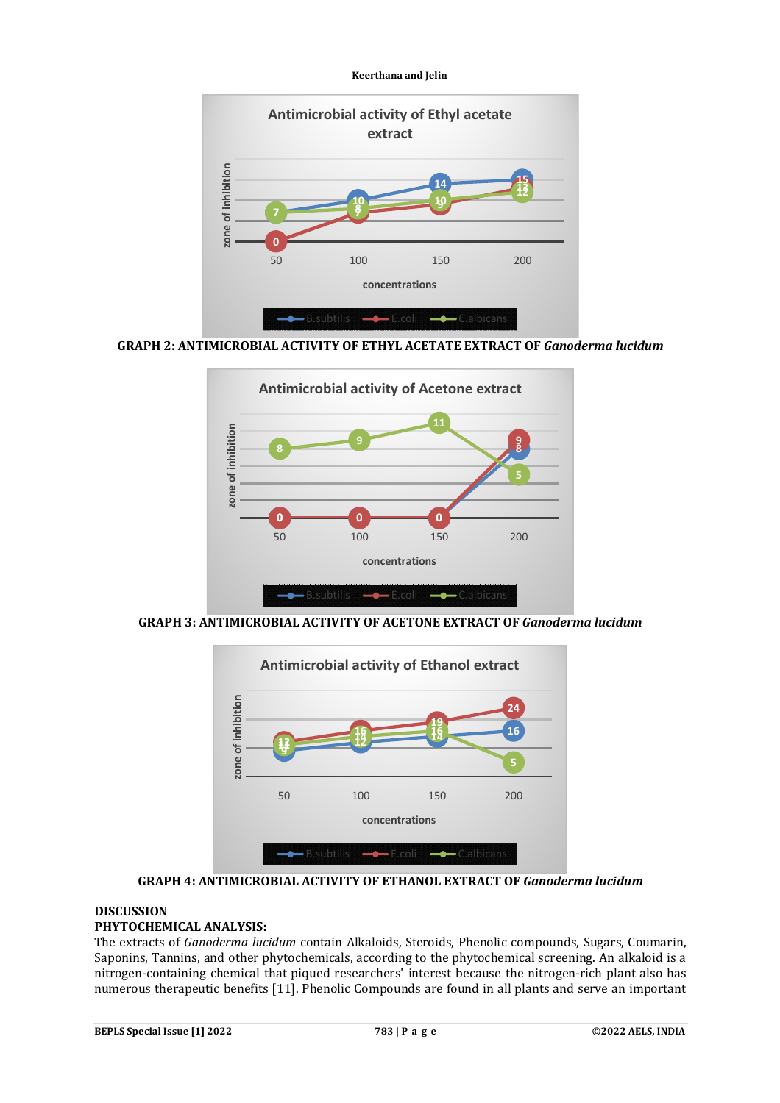

**GRAPH 2: ANTIMICROBIAL ACTIVITY OF ETHYL ACETATE EXTRACT OF** *Ganoderma lucidum*



**GRAPH 3: ANTIMICROBIAL ACTIVITY OF ACETONE EXTRACT OF** *Ganoderma lucidum*



**GRAPH 4: ANTIMICROBIAL ACTIVITY OF ETHANOL EXTRACT OF** *Ganoderma lucidum*

### **DISCUSSION PHYTOCHEMICAL ANALYSIS:**

The extracts of *Ganoderma lucidum* contain Alkaloids, Steroids, Phenolic compounds, Sugars, Coumarin, Saponins, Tannins, and other phytochemicals, according to the phytochemical screening. An alkaloid is a nitrogen-containing chemical that piqued researchers' interest because the nitrogen-rich plant also has numerous therapeutic benefits [11]. Phenolic Compounds are found in all plants and serve an important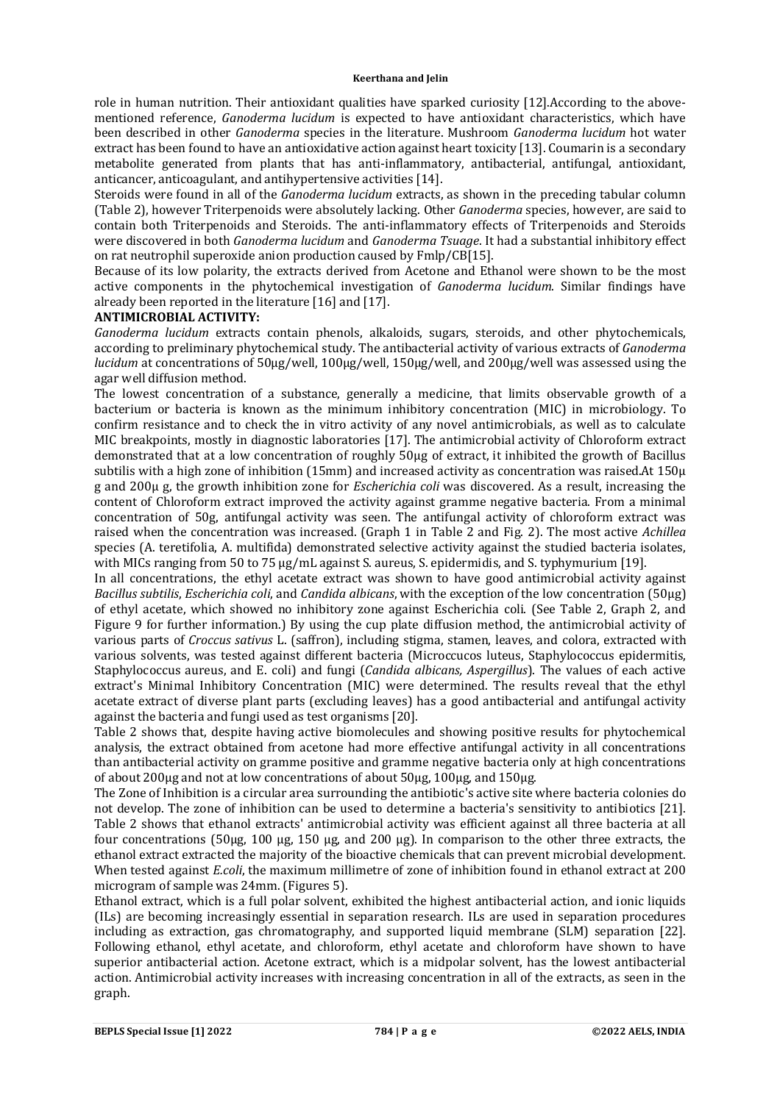role in human nutrition. Their antioxidant qualities have sparked curiosity [12].According to the abovementioned reference, *Ganoderma lucidum* is expected to have antioxidant characteristics, which have been described in other *Ganoderma* species in the literature. Mushroom *Ganoderma lucidum* hot water extract has been found to have an antioxidative action against heart toxicity [13]. Coumarin is a secondary metabolite generated from plants that has anti-inflammatory, antibacterial, antifungal, antioxidant, anticancer, anticoagulant, and antihypertensive activities [14].

Steroids were found in all of the *Ganoderma lucidum* extracts, as shown in the preceding tabular column (Table 2), however Triterpenoids were absolutely lacking. Other *Ganoderma* species, however, are said to contain both Triterpenoids and Steroids. The anti-inflammatory effects of Triterpenoids and Steroids were discovered in both *Ganoderma lucidum* and *Ganoderma Tsuage*. It had a substantial inhibitory effect on rat neutrophil superoxide anion production caused by Fmlp/CB[15].

Because of its low polarity, the extracts derived from Acetone and Ethanol were shown to be the most active components in the phytochemical investigation of *Ganoderma lucidum*. Similar findings have already been reported in the literature [16] and [17].

### **ANTIMICROBIAL ACTIVITY:**

*Ganoderma lucidum* extracts contain phenols, alkaloids, sugars, steroids, and other phytochemicals, according to preliminary phytochemical study. The antibacterial activity of various extracts of *Ganoderma lucidum* at concentrations of 50μg/well, 100μg/well, 150μg/well, and 200μg/well was assessed using the agar well diffusion method.

The lowest concentration of a substance, generally a medicine, that limits observable growth of a bacterium or bacteria is known as the minimum inhibitory concentration (MIC) in microbiology. To confirm resistance and to check the in vitro activity of any novel antimicrobials, as well as to calculate MIC breakpoints, mostly in diagnostic laboratories [17]. The antimicrobial activity of Chloroform extract demonstrated that at a low concentration of roughly 50μg of extract, it inhibited the growth of Bacillus subtilis with a high zone of inhibition (15mm) and increased activity as concentration was raised.At 150μ g and 200μ g, the growth inhibition zone for *Escherichia coli* was discovered. As a result, increasing the content of Chloroform extract improved the activity against gramme negative bacteria. From a minimal concentration of 50g, antifungal activity was seen. The antifungal activity of chloroform extract was raised when the concentration was increased. (Graph 1 in Table 2 and Fig. 2). The most active *Achillea* species (A. teretifolia, A. multifida) demonstrated selective activity against the studied bacteria isolates, with MICs ranging from 50 to 75 μg/mL against S. aureus, S. epidermidis, and S. typhymurium [19].

In all concentrations, the ethyl acetate extract was shown to have good antimicrobial activity against *Bacillus subtilis*, *Escherichia coli*, and *Candida albicans*, with the exception of the low concentration (50μg) of ethyl acetate, which showed no inhibitory zone against Escherichia coli. (See Table 2, Graph 2, and Figure 9 for further information.) By using the cup plate diffusion method, the antimicrobial activity of various parts of *Croccus sativus* L. (saffron), including stigma, stamen, leaves, and colora, extracted with various solvents, was tested against different bacteria (Microccucos luteus, Staphylococcus epidermitis, Staphylococcus aureus, and E. coli) and fungi (*Candida albicans, Aspergillus*). The values of each active extract's Minimal Inhibitory Concentration (MIC) were determined. The results reveal that the ethyl acetate extract of diverse plant parts (excluding leaves) has a good antibacterial and antifungal activity against the bacteria and fungi used as test organisms [20].

Table 2 shows that, despite having active biomolecules and showing positive results for phytochemical analysis, the extract obtained from acetone had more effective antifungal activity in all concentrations than antibacterial activity on gramme positive and gramme negative bacteria only at high concentrations of about 200μg and not at low concentrations of about 50μg, 100μg, and 150μg.

The Zone of Inhibition is a circular area surrounding the antibiotic's active site where bacteria colonies do not develop. The zone of inhibition can be used to determine a bacteria's sensitivity to antibiotics [21]. Table 2 shows that ethanol extracts' antimicrobial activity was efficient against all three bacteria at all four concentrations (50μg, 100 μg, 150 μg, and 200 μg). In comparison to the other three extracts, the ethanol extract extracted the majority of the bioactive chemicals that can prevent microbial development. When tested against *E.coli*, the maximum millimetre of zone of inhibition found in ethanol extract at 200 microgram of sample was 24mm. (Figures 5).

Ethanol extract, which is a full polar solvent, exhibited the highest antibacterial action, and ionic liquids (ILs) are becoming increasingly essential in separation research. ILs are used in separation procedures including as extraction, gas chromatography, and supported liquid membrane (SLM) separation [22]. Following ethanol, ethyl acetate, and chloroform, ethyl acetate and chloroform have shown to have superior antibacterial action. Acetone extract, which is a midpolar solvent, has the lowest antibacterial action. Antimicrobial activity increases with increasing concentration in all of the extracts, as seen in the graph.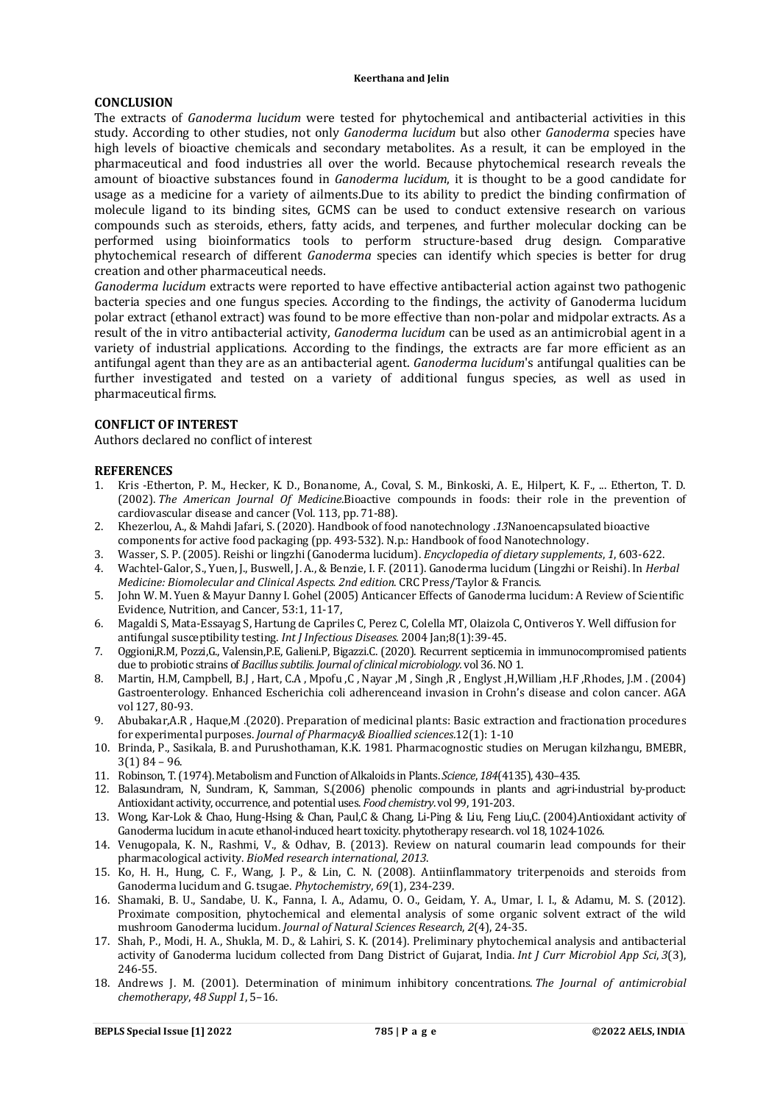### **CONCLUSION**

The extracts of *Ganoderma lucidum* were tested for phytochemical and antibacterial activities in this study. According to other studies, not only *Ganoderma lucidum* but also other *Ganoderma* species have high levels of bioactive chemicals and secondary metabolites. As a result, it can be employed in the pharmaceutical and food industries all over the world. Because phytochemical research reveals the amount of bioactive substances found in *Ganoderma lucidum*, it is thought to be a good candidate for usage as a medicine for a variety of ailments.Due to its ability to predict the binding confirmation of molecule ligand to its binding sites, GCMS can be used to conduct extensive research on various compounds such as steroids, ethers, fatty acids, and terpenes, and further molecular docking can be performed using bioinformatics tools to perform structure-based drug design. Comparative phytochemical research of different *Ganoderma* species can identify which species is better for drug creation and other pharmaceutical needs.

*Ganoderma lucidum* extracts were reported to have effective antibacterial action against two pathogenic bacteria species and one fungus species. According to the findings, the activity of Ganoderma lucidum polar extract (ethanol extract) was found to be more effective than non-polar and midpolar extracts. As a result of the in vitro antibacterial activity, *Ganoderma lucidum* can be used as an antimicrobial agent in a variety of industrial applications. According to the findings, the extracts are far more efficient as an antifungal agent than they are as an antibacterial agent. *Ganoderma lucidum*'s antifungal qualities can be further investigated and tested on a variety of additional fungus species, as well as used in pharmaceutical firms.

### **CONFLICT OF INTEREST**

Authors declared no conflict of interest

### **REFERENCES**

- 1. Kris -Etherton, P. M., Hecker, K. D., Bonanome, A., Coval, S. M., Binkoski, A. E., Hilpert, K. F., ... Etherton, T. D. (2002). *The American Journal Of Medicine*.Bioactive compounds in foods: their role in the prevention of cardiovascular disease and cancer (Vol. 113, pp. 71-88).
- 2. Khezerlou, A., & Mahdi Jafari, S. (2020). Handbook of food nanotechnology .*13*Nanoencapsulated bioactive components for active food packaging (pp. 493-532). N.p.: Handbook of food Nanotechnology.
- 3. Wasser, S. P. (2005). Reishi or lingzhi (Ganoderma lucidum). *Encyclopedia of dietary supplements*, *1*, 603-622.
- 4. Wachtel-Galor, S., Yuen, J., Buswell, J. A., & Benzie, I. F. (2011). Ganoderma lucidum (Lingzhi or Reishi). In *Herbal Medicine: Biomolecular and Clinical Aspects. 2nd edition*. CRC Press/Taylor & Francis.
- 5. John W. M. Yuen & Mayur Danny I. Gohel (2005) Anticancer Effects of Ganoderma lucidum: A Review of Scientific Evidence, Nutrition, and Cancer, 53:1, 11-17,
- 6. Magaldi S, Mata-Essayag S, Hartung de Capriles C, Perez C, Colella MT, Olaizola C, Ontiveros Y. Well diffusion for antifungal susceptibility testing. *Int J Infectious Diseases*. 2004 Jan;8(1):39-45.
- 7. Oggioni,R.M, Pozzi,G., Valensin,P.E, Galieni.P, Bigazzi.C. (2020). Recurrent septicemia in immunocompromised patients due to probiotic strains of *Bacillus subtilis. Journal of clinical microbiology.* vol 36. NO 1.
- 8. Martin, H.M, Campbell, B.J , Hart, C.A , Mpofu ,C , Nayar ,M , Singh ,R , Englyst ,H,William ,H.F ,Rhodes, J.M . (2004) Gastroenterology. Enhanced Escherichia coli adherenceand invasion in Crohn's disease and colon cancer. AGA vol 127, 80-93.
- 9. Abubakar,A.R , Haque,M .(2020). Preparation of medicinal plants: Basic extraction and fractionation procedures for experimental purposes. *Journal of Pharmacy& Bioallied sciences.*12(1): 1-10
- 10. Brinda, P., Sasikala, B. and Purushothaman, K.K. 1981. Pharmacognostic studies on Merugan kilzhangu, BMEBR, 3(1) 84 – 96.
- 11. Robinson, T. (1974). Metabolism and Function of Alkaloids in Plants.*Science*, *184*(4135), 430–435.
- 12. Balasundram, N, Sundram, K, Samman, S.(2006) phenolic compounds in plants and agri-industrial by-product: Antioxidant activity, occurrence, and potential uses. *Food chemistry*. vol 99, 191-203.
- 13. Wong, Kar-Lok & Chao, Hung-Hsing & Chan, Paul,C & Chang, Li-Ping & Liu, Feng Liu,C. (2004).Antioxidant activity of Ganoderma lucidum in acute ethanol-induced heart toxicity. phytotherapy research. vol 18, 1024-1026.
- 14. Venugopala, K. N., Rashmi, V., & Odhav, B. (2013). Review on natural coumarin lead compounds for their pharmacological activity. *BioMed research international*, *2013*.
- 15. Ko, H. H., Hung, C. F., Wang, J. P., & Lin, C. N. (2008). Antiinflammatory triterpenoids and steroids from Ganoderma lucidum and G. tsugae. *Phytochemistry*, *69*(1), 234-239.
- 16. Shamaki, B. U., Sandabe, U. K., Fanna, I. A., Adamu, O. O., Geidam, Y. A., Umar, I. I., & Adamu, M. S. (2012). Proximate composition, phytochemical and elemental analysis of some organic solvent extract of the wild mushroom Ganoderma lucidum. *Journal of Natural Sciences Research*, *2*(4), 24-35.
- 17. Shah, P., Modi, H. A., Shukla, M. D., & Lahiri, S. K. (2014). Preliminary phytochemical analysis and antibacterial activity of Ganoderma lucidum collected from Dang District of Gujarat, India. *Int J Curr Microbiol App Sci*, *3*(3), 246-55.
- 18. Andrews J. M. (2001). Determination of minimum inhibitory concentrations. *The Journal of antimicrobial chemotherapy*, *48 Suppl 1*, 5–16.